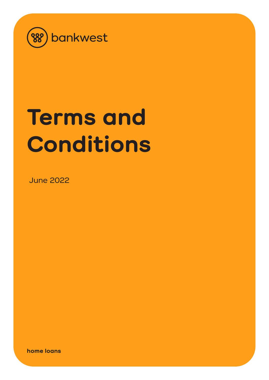

# **Terms and Conditions**

 **June 2022**

**home loans**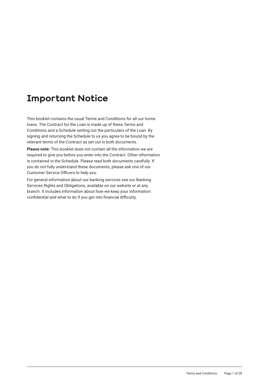## **Important Notice**

This booklet contains the usual Terms and Conditions for all our home loans. The Contract for the Loan is made up of these Terms and Conditions and a Schedule setting out the particulars of the Loan. By signing and returning the Schedule to us you agree to be bound by the relevant terms of the Contract as set out in both documents.

**Please note:** This booklet does not contain all the information we are required to give you before you enter into the Contract. Other information is contained in the Schedule. Please read both documents carefully. If you do not fully understand these documents, please ask one of our Customer Service Officers to help you.

For general information about our banking services see our Banking Services Rights and Obligations, available on our website or at any branch. It includes information about how we keep your information confidential and what to do if you get into financial difficulty.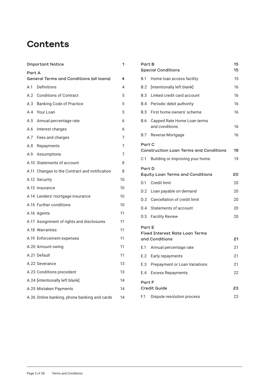## **Contents**

| <b>Important Notice</b>                                   | 1  |
|-----------------------------------------------------------|----|
| Part A<br><b>General Terms and Conditions (all loans)</b> | 4  |
| Definitions                                               | 4  |
| A.2 Conditions of Contract                                | 5  |
| <b>Banking Code of Practice</b>                           | 5  |
| Your Loan                                                 | 5  |
| A.5<br>Annual percentage rate                             | 6  |
| Interest charges                                          | 6  |
| Fees and charges                                          | 7  |
| Repayments                                                | 7  |
| Assumptions                                               | 7  |
| A.10 Statements of account                                | 8  |
| A.11 Changes to the Contract and notification             | 8  |
| A.12 Security                                             | 10 |
| A.13 Insurance                                            | 10 |
| A.14 Lenders' mortgage insurance                          | 10 |
| A.15 Further conditions                                   | 10 |
| A.16 Agents                                               | 11 |
| A.17 Assignment of rights and disclosures                 | 11 |
| A.18 Warranties                                           | 11 |
| A.19 Enforcement expenses                                 | 11 |
| A.20 Amount owing                                         | 11 |
| A.21 Default                                              | 11 |
| A.22 Severance                                            | 13 |
| A.23 Conditions precedent                                 | 13 |
| A.24 [intentionally left blank]                           | 14 |
| A.25 Mistaken Payments                                    | 14 |
| A.26 Online banking, phone banking and cards              | 14 |
|                                                           |    |

| Part B     | <b>Special Conditions</b>                               | 15<br>15 |
|------------|---------------------------------------------------------|----------|
| B.1        | Home loan access facility                               | 15       |
| B.2        | [intentionally left blank]                              | 16       |
| B.3        | Linked credit card account                              | 16       |
|            | B.4 Periodic debit authority                            | 16       |
| <b>B.5</b> | First home owners' scheme                               | 16       |
| B.6        | Capped Rate Home Loan terms<br>and conditions           | 16       |
| B.7        | Reverse Mortgage                                        | 16       |
| Part C     | <b>Construction Loan Terms and Conditions</b>           | 19       |
| C.1        | Building or improving your home                         | 19       |
| Part D     | <b>Equity Loan Terms and Conditions</b>                 | 20       |
| D.1        | <b>Credit limit</b>                                     | 20       |
| D.2        | Loan payable on demand                                  | 20       |
| D.3        | Cancellation of credit limit                            | 20       |
| D.4        | Statements of account                                   | 20       |
| D.5        | <b>Facility Review</b>                                  | 20       |
| Part E     | <b>Fixed Interest Rate Loan Terms</b><br>and Conditions | 21       |
| E.1        | Annual percentage rate                                  | 21       |
|            | E.2 Early repayments                                    | 21       |
| E.3        | Prepayment or Loan Variations                           | 21       |
| E.4        | <b>Excess Repayments</b>                                | 22       |
| Part F     | <b>Credit Guide</b>                                     | 23       |
| F.1        | Dispute resolution process                              | 23       |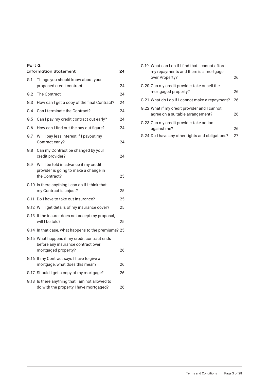| Part G |                                                                                                           |    |
|--------|-----------------------------------------------------------------------------------------------------------|----|
|        | <b>Information Statement</b>                                                                              | 24 |
| G.1    | Things you should know about your<br>proposed credit contract                                             | 24 |
| G.2    | The Contract                                                                                              | 24 |
| G.3    | How can I get a copy of the final Contract?                                                               | 24 |
| G.4    | Can I terminate the Contract?                                                                             | 24 |
| G.5    | Can I pay my credit contract out early?                                                                   | 24 |
| G.6    | How can I find out the pay out figure?                                                                    | 24 |
| G.7    | Will I pay less interest if I payout my<br>Contract early?                                                | 24 |
| G.8    | Can my Contract be changed by your<br>credit provider?                                                    | 24 |
| G.9    | Will I be told in advance if my credit<br>provider is going to make a change in<br>the Contract?          | 25 |
|        | G.10 Is there anything I can do if I think that<br>my Contract is unjust?                                 | 25 |
| G.11   | Do I have to take out insurance?                                                                          | 25 |
|        | G.12 Will I get details of my insurance cover?                                                            | 25 |
|        | G.13 If the insurer does not accept my proposal,<br>will I be told?                                       | 25 |
|        | G.14 In that case, what happens to the premiums? 25                                                       |    |
|        | G.15 What happens if my credit contract ends<br>before any insurance contract over<br>mortgaged property? | 26 |
|        | G.16 If my Contract says I have to give a<br>mortgage, what does this mean?                               | 26 |
|        | G.17 Should I get a copy of my mortgage?                                                                  | 26 |
|        | G.18 Is there anything that I am not allowed to<br>do with the property I have mortgaged?                 | 26 |

| G.19 What can I do if I find that I cannot afford<br>my repayments and there is a mortgage<br>over Property? | 26 |
|--------------------------------------------------------------------------------------------------------------|----|
| G.20 Can my credit provider take or sell the<br>mortgaged property?                                          | 26 |
| G.21 What do I do if I cannot make a repayment?                                                              | 26 |
| G.22 What if my credit provider and I cannot<br>agree on a suitable arrangement?                             | 26 |
| G.23 Can my credit provider take action                                                                      |    |
| against me?                                                                                                  | 26 |
| G.24 Do I have any other rights and obligations?                                                             | 27 |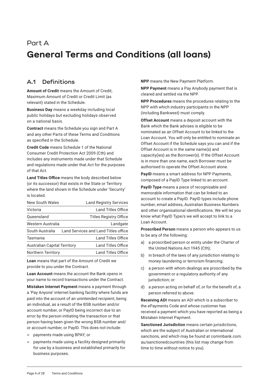#### **Part A**

# **General Terms and Conditions (all loans)**

#### **A.1 Definitions**

**Amount of Credit** means the Amount of Credit, Maximum Amount of Credit or Credit Limit (as relevant) stated in the Schedule.

**Business Day** means a weekday including local public holidays but excluding holidays observed on a national basis.

**Contract** means the Schedule you sign and Part A and any other Parts of these Terms and Conditions as specified in the Schedule.

**Credit Code** means Schedule 1 of the National Consumer Credit Protection Act 2009 (Cth) and includes any instruments made under that Schedule and regulations made under that Act for the purposes of that Act.

**Land Titles Office** means the body described below (or its successor) that exists in the State or Territory where the land shown in the Schedule under 'Security' is located.

| New South Wales              | <b>Land Registry Services</b>        |
|------------------------------|--------------------------------------|
| Victoria                     | Land Titles Office                   |
| Queensland                   | Titles Registry Office               |
| Western Australia            | Landgate                             |
| South Australia              | Land Services and Land Titles office |
| Tasmania                     | Land Titles Office                   |
| Australian Capital Territory | Land Titles Office                   |
| <b>Northern Territory</b>    | Land Titles Office                   |
|                              |                                      |

**Loan** means that part of the Amount of Credit we provide to you under the Contract.

**Loan Account** means the account the Bank opens in your name to record transactions under the Contract.

**Mistaken Internet Payment** means a payment through a 'Pay Anyone' internet banking facility where funds are paid into the account of an unintended recipient, being an individual, as a result of the BSB number and/or account number, or PayID being incorrect due to an error by the person initiating the transaction or that person having been given the wrong BSB number and/ or account number, or PayID. This does not include:

- **–** payments made using BPAY; or
- **–** payments made using a facility designed primarily for use by a business and established primarily for business purposes.

**NPP** means the New Payment Platform.

**NPP Payment** means a Pay Anybody payment that is cleared and settled via the NPP.

**NPP Procedures** means the procedures relating to the NPP with which industry participants in the NPP (including Bankwest) must comply.

**Offset Account** means a deposit account with the Bank which the Bank advises is eligible to be nominated as an Offset Account to be linked to the Loan Account. You will only be entitled to nominate an Offset Account if the Schedule says you can and if the Offset Account is in the same name(s) and capacity(ies) as the Borrower(s). If the Offset Account is in more than one name, each Borrower must be authorised to operate the Offset Account alone.

**PayID** means a smart address for NPP Payments, composed of a PayID Type linked to an account.

**PayID Type** means a piece of recognisable and memorable information that can be linked to an account to create a PayID. PayID types include phone number, email address, Australian Business Numbers and other organisational identifications. We will let you know what PayID Type/s we will accept to link to a Loan Account.

**Proscribed Person** means a person who appears to us to be any of the following:

- a) a proscribed person or entity under the Charter of the United Nations Act 1945 (Cth);
- b) in breach of the laws of any jurisdiction relating to money-laundering or terrorism financing;
- c) a person with whom dealings are proscribed by the government or a regulatory authority of any jurisdiction; or
- d) a person acting on behalf of, or for the benefit of, a person referred to above.

**Receiving ADI** means an ADI which is a subscriber to the ePayments Code and whose customer has received a payment which you have reported as being a Mistaken Internet Payment.

**Sanctioned Jurisdiction** means certain jurisdictions, which are the subject of Australian or international sanctions, and which may be found at commbank.com. au/sanctionedcountries (this list may change from time to time without notice to you).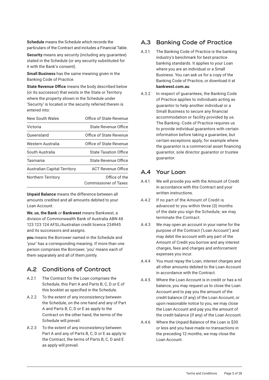**Schedule** means the Schedule which records the particulars of the Contract and includes a Financial Table.

**Security** means any security (including any guarantee) stated in the Schedule (or any security substituted for it with the Bank's consent).

**Small Business** has the same meaning given in the Banking Code of Practice.

**State Revenue Office** means the body described below (or its successor) that exists in the State or Territory where the property shown in the Schedule under 'Security' is located or the security referred therein is entered into:

| New South Wales                     | Office of State Revenue                       |
|-------------------------------------|-----------------------------------------------|
| Victoria                            | State Revenue Office                          |
| Queensland                          | Office of State Revenue                       |
| Western Australia                   | Office of State Revenue                       |
| South Australia                     | <b>State Taxation Office</b>                  |
| Tasmania                            | State Revenue Office                          |
| <b>Australian Capital Territory</b> | <b>ACT Revenue Office</b>                     |
| Northern Territory                  | Office of the<br><b>Commissioner of Taxes</b> |

**Unpaid Balance** means the difference between all amounts credited and all amounts debited to your Loan Account.

**We**, **us**, **the Bank** or **Bankwest** means Bankwest, a division of Commonwealth Bank of Australia ABN 48 123 123 124 AFSL/Australian credit licence 234945 and its successors and assigns.

**you** means the Borrower named in the Schedule and 'your' has a corresponding meaning. If more than one person comprises the Borrower, 'you' means each of them separately and all of them jointly.

## **A.2 Conditions of Contract**

- A.2.1 The Contract for the Loan comprises the Schedule, this Part A and Parts B, C, D or E of this booklet as specified in the Schedule.
- A.2.2 To the extent of any inconsistency between the Schedule, on the one hand and any of Part A and Parts B, C, D or E as apply to the Contract on the other hand, the terms of the Schedule will prevail.
- A.2.3 To the extent of any inconsistency between Part A and any of Parts B, C, D or E as apply to the Contract, the terms of Parts B, C, D and E as apply will prevail.

## **A.3 Banking Code of Practice**

- A.3.1 The Banking Code of Practice is the banking industry's benchmark for best-practice banking standards. It applies to your Loan where you are an individual or a Small Business. You can ask us for a copy of the Banking Code of Practice, or download it at **bankwest.com.au**.
- A.3.2 In respect of guarantees, the Banking Code of Practice applies to individuals acting as guarantor to help another individual or a Small Business to secure any financial accommodation or facility provided by us. The Banking -Code of Practice requires us to provide individual guarantors with certain information before taking a guarantee, but certain exceptions apply, for example where the guarantor is a commercial asset financing guarantor, sole director guarantor or trustee guarantor.

#### **A.4 Your Loan**

- A.4.1 We will provide you with the Amount of Credit in accordance with this Contract and your written instructions.
- A.4.2 If no part of the Amount of Credit is advanced to you within three (3) months of the date you sign the Schedule, we may terminate the Contract.
- A.4.3 We may open an account in your name for the purpose of the Contract ('Loan Account') and may debit the account with any part of the Amount of Credit you borrow and any interest charges, fees and charges and enforcement expenses you incur.
- A.4.4 You must repay the Loan, interest charges and all other amounts debited to the Loan Account in accordance with the Contract.
- A.4.5 Where the Loan Account is in credit or has a nil balance, you may request us to close the Loan Account and to pay you the amount of the credit balance (if any) of the Loan Account, or upon reasonable notice to you, we may close the Loan Account and pay you the amount of the credit balance (if any) of the Loan Account.
- A.4.6 Where the Unpaid Balance of the Loan is \$30 or less and you have made no transactions in the preceding 12 months, we may close the Loan Account.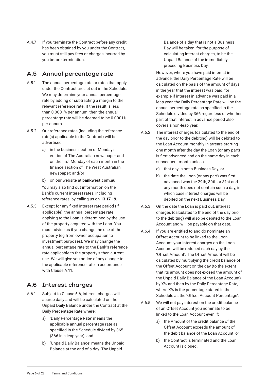A.4.7 If you terminate the Contract before any credit has been obtained by you under the Contract, you must still pay fees or charges incurred by you before termination.

#### **A.5 Annual percentage rate**

- A.5.1 The annual percentage rate or rates that apply under the Contract are set out in the Schedule. We may determine your annual percentage rate by adding or subtracting a margin to the relevant reference rate. If the result is less than 0.0001% per annum, then the annual percentage rate will be deemed to be 0.0001% per annum.
- A.5.2 Our reference rates (including the reference rate(s) applicable to the Contract) will be advertised:
	- a) in the business section of Monday's edition of The Australian newspaper and on the first Monday of each month in the finance section of The West Australian newspaper; and/or
	- b) on our website at **bankwest.com.au**.

You may also find out information on the Bank's current interest rates, including reference rates, by calling us on **13 17 19**.

A.5.3 Except for any fixed interest rate period (if applicable), the annual percentage rate applying to the Loan is determined by the use of the property acquired with the Loan. You must advise us if you change the use of the property (eg from owner occupation to investment purposes). We may change the annual percentage rate to the Bank's reference rate applicable to the property's then current use. We will give you notice of any change to the applicable reference rate in accordance with Clause A 11

#### **A.6 Interest charges**

- A.6.1 Subject to Clause 6.6, interest charges will accrue daily and will be calculated on the Unpaid Daily Balance under the Contract at the Daily Percentage Rate where:
	- a) 'Daily Percentage Rate' means the applicable annual percentage rate as specified in the Schedule divided by 365 (366 in a leap year); and
	- b) 'Unpaid Daily Balance' means the Unpaid Balance at the end of a day. The Unpaid

Balance of a day that is not a Business Day will be taken, for the purpose of calculating interest charges, to be the Unpaid Balance of the immediately preceding Business Day.

However, where you have paid interest in advance, the Daily Percentage Rate will be calculated on the basis of the amount of days in the year that the interest was paid, for example if interest in advance was paid in a leap year, the Daily Percentage Rate will be the annual percentage rate as specified in the Schedule divided by 366 regardless of whether part of that interest in advance period also covers a non-leap year.

- A.6.2 The interest charges (calculated to the end of the day prior to the debiting) will be debited to the Loan Account monthly in arrears starting one month after the day the Loan (or any part) is first advanced and on the same day in each subsequent month unless:
	- a) that day is not a Business Day; or
	- b) the date the Loan (or any part) was first advanced was the 29th, 30th or 31st and any month does not contain such a day, in which case interest charges will be debited on the next Business Day.
- A.6.3 On the date the Loan is paid out, interest charges (calculated to the end of the day prior to the debiting) will also be debited to the Loan Account and will be payable on that date.
- A.6.4 If you are entitled to and do nominate an Offset Account to be linked to the Loan Account, your interest charges on the Loan Account will be reduced each day by the 'Offset Amount'. The Offset Amount will be calculated by multiplying the credit balance of the Offset Account on the day (to the extent that its amount does not exceed the amount of the Unpaid Daily Balance of the Loan Account) by X% and then by the Daily Percentage Rate, where X% is the percentage stated in the Schedule as the 'Offset Account Percentage'.
- A.6.5 We will not pay interest on the credit balance of an Offset Account you nominate to be linked to the Loan Account even if:
	- a) the Amount of the credit balance of the Offset Account exceeds the amount of the debit balance of the Loan Account; or
	- b) the Contract is terminated and the Loan Account is closed.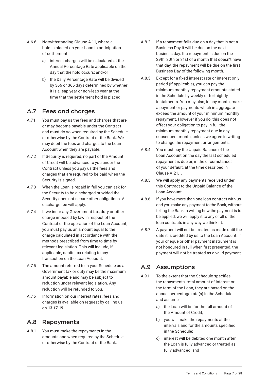- A.6.6 Notwithstanding Clause A.11, where a hold is placed on your Loan in anticipation of settlement:
	- a) interest charges will be calculated at the Annual Percentage Rate applicable on the day that the hold occurs; and/or
	- b) the Daily Percentage Rate will be divided by 366 or 365 days determined by whether it is a leap year or non-leap year at the time that the settlement hold is placed.

#### **A.7 Fees and charges**

- A.7.1 You must pay us the fees and charges that are or may become payable under the Contract and must do so when required by the Schedule or otherwise by the Contract or the Bank. We may debit the fees and charges to the Loan Account when they are payable.
- A.7.2 If Security is required, no part of the Amount of Credit will be advanced to you under the Contract unless you pay us the fees and charges that are required to be paid when the Security is signed.
- A.7.3 When the Loan is repaid in full you can ask for the Security to be discharged provided the Security does not secure other obligations. A discharge fee will apply.
- A.7.4 If we incur any Government tax, duty or other charge imposed by law in respect of the Contract or the operation of the Loan Account, you must pay us an amount equal to the charge calculated in accordance with the methods prescribed from time to time by relevant legislation. This will include, if applicable, debits tax relating to any transaction on the Loan Account.
- A.7.5 The amount referred to in your Schedule as a Government tax or duty may be the maximum amount payable and may be subject to reduction under relevant legislation. Any reduction will be refunded to you.
- A.7.6 Information on our interest rates, fees and charges is available on request by calling us on **13 17 19**.

#### **A.8 Repayments**

A.8.1 You must make the repayments in the amounts and when required by the Schedule or otherwise by the Contract or the Bank.

- A.8.2 If a repayment falls due on a day that is not a Business Day it will be due on the next business day. If a repayment is due on the 29th, 30th or 31st of a month that doesn't have that day, the repayment will be due on the first Business Day of the following month.
- A.8.3 Except for a fixed interest rate or interest only period (if applicable), you can pay the minimum monthly repayment amounts stated in the Schedule by weekly or fortnightly instalments. You may also, in any month, make a payment or payments which in aggregate exceed the amount of your minimum monthly repayment. However if you do, this does not affect your obligation to pay in full the minimum monthly repayment due in any subsequent month, unless we agree in writing to change the repayment arrangements.
- A.8.4 You must pay the Unpaid Balance of the Loan Account on the day the last scheduled repayment is due or, in the circumstances of your default, at the time described in Clause A.21.1.
- A.8.5 We will apply any payments received under this Contract to the Unpaid Balance of the Loan Account.
- A.8.6 If you have more than one loan contract with us and you make any payment to the Bank, without telling the Bank in writing how the payment is to be applied, we will apply it to any or all of the loan contracts in any way we think fit.
- A.8.7 A payment will not be treated as made until the date it is credited by us to the Loan Account. If your cheque or other payment instrument is not honoured in full when first presented, the payment will not be treated as a valid payment.

## **A.9 Assumptions**

- A.9.1 To the extent that the Schedule specifies the repayments, total amount of interest or the term of the Loan, they are based on the annual percentage rate(s) in the Schedule and assume:
	- a) the Loan will be for the full amount of the Amount of Credit;
	- b) you will make the repayments at the intervals and for the amounts specified in the Schedule;
	- c) interest will be debited one month after the Loan is fully advanced or treated as fully advanced; and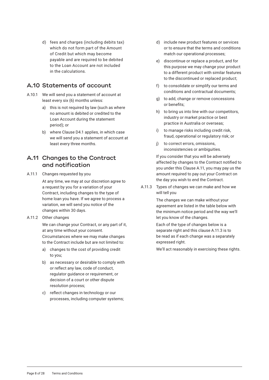d) fees and charges (including debits tax) which do not form part of the Amount of Credit but which may become payable and are required to be debited to the Loan Account are not included in the calculations.

#### **A.10 Statements of account**

- A.10.1 We will send you a statement of account at least every six (6) months unless:
	- a) this is not required by law (such as where no amount is debited or credited to the Loan Account during the statement period); or
	- b) where Clause D4.1 applies, in which case we will send you a statement of account at least every three months.

#### **A.11 Changes to the Contract and notification**

A.11.1 Changes requested by you

At any time, we may at our discretion agree to a request by you for a variation of your Contract, including changes to the type of home loan you have. If we agree to process a variation, we will send you notice of the changes within 30 days.

A.11.2 Other changes

We can change your Contract, or any part of it, at any time without your consent. Circumstances where we may make changes to the Contract include but are not limited to:

- a) changes to the cost of providing credit to you;
- b) as necessary or desirable to comply with or reflect any law, code of conduct, regulator guidance or requirement, or decision of a court or other dispute resolution process;
- c) reflect changes in technology or our processes, including computer systems;
- d) include new product features or services or to ensure that the terms and conditions match our operational processes;
- e) discontinue or replace a product, and for this purpose we may change your product to a different product with similar features to the discontinued or replaced product;
- f) to consolidate or simplify our terms and conditions and contractual documents;
- g) to add, change or remove concessions or benefits;
- h) to bring us into line with our competitors, industry or market practice or best practice in Australia or overseas;
- i) to manage risks including credit risk, fraud, operational or regulatory risk; or
- j) to correct errors, omissions, inconsistencies or ambiguities.

 If you consider that you will be adversely affected by changes to the Contract notified to you under this Clause A.11, you may pay us the amount required to pay out your Contract on the day you wish to end the Contract.

A.11.3 Types of changes we can make and how we will tell you

> The changes we can make without your agreement are listed in the table below with the minimum notice period and the way we'll let you know of the changes.

Each of the type of changes below is a separate right and this clause A.11.3 is to be read as if each change was a separately expressed right.

We'll act reasonably in exercising these rights.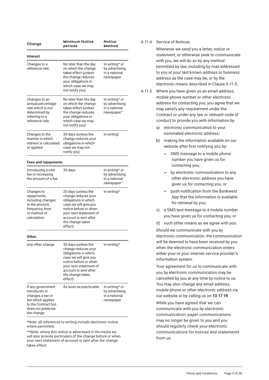| Change                                                                                                                                 | <b>Minimum Notice</b><br>periods                                                                                                                                                                       | <b>Notice</b><br>Method                                          |
|----------------------------------------------------------------------------------------------------------------------------------------|--------------------------------------------------------------------------------------------------------------------------------------------------------------------------------------------------------|------------------------------------------------------------------|
| Interest                                                                                                                               |                                                                                                                                                                                                        |                                                                  |
| Changes to a<br>reference rate                                                                                                         | No later than the day<br>on which the change<br>takes effect (unless<br>the change reduces<br>your obligations in<br>which case we may<br>not notify you)                                              | In writing* or<br>by advertising<br>in a national<br>newspaper   |
| Changes to an<br>annual percentage<br>rate which is not<br>determined by<br>referring to a<br>reference rate                           | No later than the day<br>on which the change<br>takes effect (unless<br>the change reduces<br>your obligations in<br>which case we may<br>not notify you)                                              | In writing* or<br>by advertising<br>in a national<br>newspaper** |
| Changes to the<br>manner in which<br>interest is calculated<br>or applied.                                                             | 30 days (unless the<br>change reduces your<br>obligations in which<br>case we may not<br>notify you)                                                                                                   | In writing <sup>*</sup>                                          |
| <b>Fees and repayments</b>                                                                                                             |                                                                                                                                                                                                        |                                                                  |
| Introducing a new<br>fee or increasing<br>the amount of a fee                                                                          | 30 days                                                                                                                                                                                                | In writing* or<br>by advertising<br>in a national<br>newspaper** |
| Changes to<br>repayments,<br>including changes<br>to the amount,<br>frequency, time<br>or method of<br>calculation                     | 20 days (unless the<br>change reduces your<br>obligations in which<br>case we will give you<br>notice before or when<br>your next statement of<br>account is sent after<br>the change takes<br>effect) | In writing*                                                      |
| Other                                                                                                                                  |                                                                                                                                                                                                        |                                                                  |
| Any other change                                                                                                                       | 30 days (unless the<br>change reduces your<br>obligations in which<br>case we will give you<br>notice before or when<br>vour next statement of<br>account is sent after<br>the change takes<br>effect) | In writing*                                                      |
| If any government<br>introduces or<br>changes a tax or<br>fee which applies<br>to the Contract but<br>does not publicise<br>the change | As soon as practicable                                                                                                                                                                                 | In writing* or<br>by advertising<br>in a national<br>newspaper   |

\*Note: all references to writing include electronic notice where permitted.

\*\*Note: where this notice is advertised in the media we will also provide particulars of the change before or when your next statement of account is sent after the change takes effect.

#### A.11.4 Service of Notices

Whenever we send you a letter, notice or statement, or otherwise seek to communicate with you, we will do so by any method permitted by law, including by mail addressed to you at your last known address or business address as the case may be, or by the electronic means described in Clause A.11.5.

- A.11.5 Where you have given us an email address, mobile phone number or other electronic address for contacting you, you agree that we may satisfy any requirement under the Contract or under any law or relevant code of conduct to provide you with information by:
	- a) electronic communication to your nominated electronic address;
	- b) making the information available on our website after first notifying you by:
		- **–** SMS message to a mobile phone number you have given us for contacting you;
		- **–** by electronic communication to any other electronic address you have given us for contacting you, or
		- **–** push notification from the Bankwest App that the information is available for retrieval by you;
	- c) a SMS text message to a mobile number you have given us for contacting you; or
	- d) such other means as we agree with you.

Should we communicate with you by electronic communication, the communication will be deemed to have been received by you when the electronic communication enters either your or your internet service provider's information system.

Your agreement for us to communicate with you by electronic communication may be cancelled by you at any time by notice to us. You may also change any email address, mobile phone or other electronic address via our website or by calling us on **13 17 19**.

While you have agreed that we can communicate with you by electronic communication, paper communications may no longer be given to you and you should regularly check your electronic communications for notices and statements from us.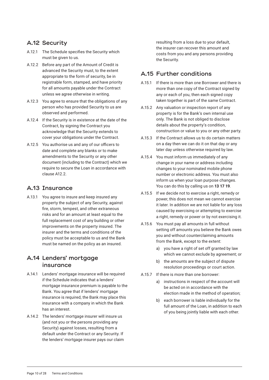#### **A.12 Security**

- A.12.1 The Schedule specifies the Security which must be given to us.
- A.12.2 Before any part of the Amount of Credit is advanced the Security must, to the extent appropriate to the form of security, be in registrable form, stamped, and have priority for all amounts payable under the Contract unless we agree otherwise in writing.
- A.12.3 You agree to ensure that the obligations of any person who has provided Security to us are observed and performed.
- A.12.4 If the Security is in existence at the date of the Contract, by signing the Contract you acknowledge that the Security extends to cover your obligations under the Contract.
- A.12.5 You authorise us and any of our officers to date and complete any blanks or to make amendments to the Security or any other document (including to the Contract) which we require to secure the Loan in accordance with clause A12.2.

#### **A.13 Insurance**

A.13.1 You agree to insure and keep insured any property the subject of any Security, against fire, storm, tempest, and other extraneous risks and for an amount at least equal to the full replacement cost of any building or other improvements on the property insured. The insurer and the terms and conditions of the policy must be acceptable to us and the Bank must be named on the policy as an insured.

#### **A.14 Lenders' mortgage insurance**

- A.14.1 Lenders' mortgage insurance will be required if the Schedule indicates that a lenders' mortgage insurance premium is payable to the Bank. You agree that if lenders' mortgage insurance is required, the Bank may place this insurance with a company in which the Bank has an interest.
- A.14.2 The lenders' mortgage insurer will insure us (and not you or the persons providing any Security) against losses, resulting from a default under the Contract or any Security. If the lenders' mortgage insurer pays our claim

resulting from a loss due to your default, the insurer can recover this amount and costs from you and any persons providing the Security.

#### **A.15 Further conditions**

- A.15.1 If there is more than one Borrower and there is more than one copy of the Contract signed by any or each of you, then each signed copy taken together is part of the same Contract.
- A.15.2 Any valuation or inspection report of any property is for the Bank's own internal use only. The Bank is not obliged to disclose details about the property's condition, construction or value to you or any other party.
- A.15.3 If the Contract allows us to do certain matters on a day then we can do it on that day or any later day unless otherwise required by law.
- A.15.4 You must inform us immediately of any change in your name or address including changes to your nominated mobile phone number or electronic address. You must also inform us when your loan purpose changes. You can do this by calling us on **13 17 19**.
- A.15.5 If we decide not to exercise a right, remedy or power, this does not mean we cannot exercise it later. In addition we are not liable for any loss caused by exercising or attempting to exercise a right, remedy or power or by not exercising it.
- A.15.6 You must pay all amounts in full without setting off amounts you believe the Bank owes you and without counterclaiming amounts from the Bank, except to the extent:
	- a) you have a right of set off granted by law which we cannot exclude by agreement; or
	- b) the amounts are the subject of dispute resolution proceedings or court action.
- A.15.7 If there is more than one borrower:
	- a) instructions in respect of the account will be acted on in accordance with the election made in the method of operation;
	- b) each borrower is liable individually for the full amount of the Loan, in addition to each of you being jointly liable with each other.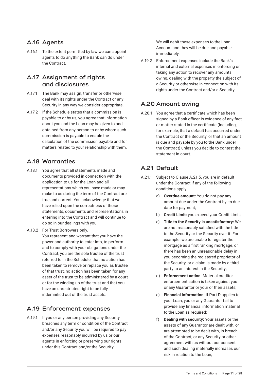#### **A.16 Agents**

A.16.1 To the extent permitted by law we can appoint agents to do anything the Bank can do under the Contract.

#### **A.17 Assignment of rights and disclosures**

- A.17.1 The Bank may assign, transfer or otherwise deal with its rights under the Contract or any Security in any way we consider appropriate.
- A.17.2 If the Schedule states that a commission is payable to or by us, you agree that information about you and the Loan may be given to and obtained from any person to or by whom such commission is payable to enable the calculation of the commission payable and for matters related to your relationship with them.

## **A.18 Warranties**

- A.18.1 You agree that all statements made and documents provided in connection with the application to us for the Loan and all representations which you have made or may make to us during the term of the Contract are true and correct. You acknowledge that we have relied upon the correctness of those statements, documents and representations in entering into the Contract and will continue to do so in our dealings with you.
- A.18.2 For Trust Borrowers only. You represent and warrant that you have the power and authority to enter into, to perform and to comply with your obligations under the Contract, you are the sole trustee of the trust referred to in the Schedule, that no action has been taken to remove or replace you as trustee of that trust, no action has been taken for any asset of the trust to be administered by a court or for the winding up of the trust and that you have an unrestricted right to be fully indemnified out of the trust assets.

#### **A.19 Enforcement expenses**

A.19.1 If you or any person providing any Security breaches any term or condition of the Contract and/or any Security you will be required to pay expenses reasonably incurred by us or our agents in enforcing or preserving our rights under this Contract and/or the Security.

We will debit these expenses to the Loan Account and they will be due and payable immediately.

A.19.2 Enforcement expenses include the Bank's internal and external expenses in enforcing or taking any action to recover any amounts owing, dealing with the property the subject of a Security or otherwise in connection with its rights under the Contract and/or a Security.

## **A.20 Amount owing**

A.20.1 You agree that a certificate which has been signed by a Bank officer is evidence of any fact or matter stated in the certificate (including, for example, that a default has occurred under the Contract or the Security, or that an amount is due and payable by you to the Bank under the Contract) unless you decide to contest the statement in court.

## **A.21 Default**

- A.21.1 Subject to Clause A.21.5, you are in default under the Contract if any of the following conditions apply:
	- a) **Overdue amount:** You do not pay any amount due under the Contract by its due date for payment;
	- b) **Credit Limit:** you exceed your Credit Limit;
	- c) **Title to the Security is unsatisfactory:** We are not reasonably satisfied with the title to the Security or the Security over it. For example: we are unable to register the mortgage as a first ranking mortgage, or there has been an unreasonable delay in you becoming the registered proprietor of the Security, or a claim is made by a third party to an interest in the Security;
	- d) **Enforcement action:** Material creditor enforcement action is taken against you or any Guarantor or your or their assets;
	- e) **Financial information:** If Part D applies to your Loan, you or any Guarantor fail to provide any financial information material to the Loan as required;
	- f) **Dealing with security:** Your assets or the assets of any Guarantor are dealt with, or are attempted to be dealt with, in breach of the Contract, or any Security or other agreement with us without our consent and such dealing materially increases our risk in relation to the Loan;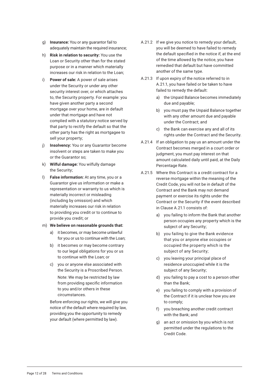- g) **Insurance:** You or any guarantor fail to adequately maintain the required insurance;
- h) **Risk in relation to security:** You use the Loan or Security other than for the stated purpose or in a manner which materially increases our risk in relation to the Loan;
- i) **Power of sale:** A power of sale arises under the Security or under any other security interest over, or which attaches to, the Security property. For example: you have given another party a second mortgage over your home, are in default under that mortgage and have not complied with a statutory notice served by that party to rectify the default so that the other party has the right as mortgagee to sell your property;
- j) **Insolvency:** You or any Guarantor become insolvent or steps are taken to make you or the Guarantor so;
- k) **Wilful damage:** You wilfully damage the Security;
- l) **False information:** At any time, you or a Guarantor give us information or make a representation or warranty to us which is materially incorrect or misleading (including by omission) and which materially increases our risk in relation to providing you credit or to continue to provide you credit; or
- m) **We believe on reasonable grounds that:**
	- a) it becomes, or may become unlawful for you or us to continue with the Loan;
	- b) it becomes or may become contrary to our legal obligations for you or us to continue with the Loan; or
	- c) you or anyone else associated with the Security is a Proscribed Person. Note: We may be restricted by law from providing specific information to you and/or others in these circumstances.

Before enforcing our rights, we will give you notice of the default where required by law, providing you the opportunity to remedy your default (where permitted by law).

- A.21.2 If we give you notice to remedy your default, you will be deemed to have failed to remedy the default specified in the notice if, at the end of the time allowed by the notice, you have remedied that default but have committed another of the same type.
- A.21.3 If upon expiry of the notice referred to in A.21.1, you have failed or be taken to have failed to remedy the default:
	- a) the Unpaid Balance becomes immediately due and payable;
	- b) you must pay the Unpaid Balance together with any other amount due and payable under the Contract; and
	- c) the Bank can exercise any and all of its rights under the Contract and the Security.
- A.21.4 If an obligation to pay us an amount under the Contract becomes merged in a court order or judgment, you must pay interest on that amount calculated daily until paid, at the Daily Percentage Rate.
- A.21.5 Where this Contract is a credit contract for a reverse mortgage within the meaning of the Credit Code, you will not be in default of the Contract and the Bank may not demand payment or exercise its rights under the Contract or the Security if the event described in Clause A.21.1 consists of:
	- a) you failing to inform the Bank that another person occupies any property which is the subject of any Security;
	- b) you failing to give the Bank evidence that you or anyone else occupies or occupied the property which is the subject of any Security;
	- c) you leaving your principal place of residence unoccupied while it is the subject of any Security;
	- d) you failing to pay a cost to a person other than the Bank;
	- e) you failing to comply with a provision of the Contract if it is unclear how you are to comply;
	- f) you breaching another credit contract with the Bank; and
	- g) an act or omission by you which is not permitted under the regulations to the Credit Code.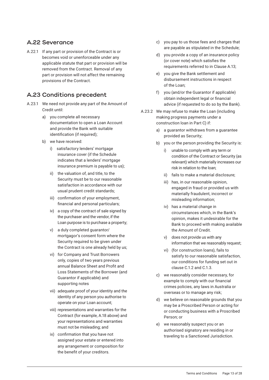#### **A.22 Severance**

A.22.1 If any part or provision of the Contract is or becomes void or unenforceable under any applicable statute that part or provision will be removed from the Contract. Removal of any part or provision will not affect the remaining provisions of the Contract.

#### **A.23 Conditions precedent**

- A.23.1 We need not provide any part of the Amount of Credit until:
	- a) you complete all necessary documentation to open a Loan Account and provide the Bank with suitable identification (if required);
	- b) we have received:
		- i) satisfactory lenders' mortgage insurance cover (if the Schedule indicates that a lenders' mortgage insurance premium is payable to us);
		- ii) the valuation of, and title, to the Security must be to our reasonable satisfaction in accordance with our usual prudent credit standards;
		- iii) confirmation of your employment, financial and personal particulars;
		- iv) a copy of the contract of sale signed by the purchaser and the vendor, if the Loan purpose is to purchase a property;
		- v) a duly completed guarantor/ mortgagor's consent form where the Security required to be given under the Contract is one already held by us;
		- vi) for Company and Trust Borrowers only, copies of two years previous annual Balance Sheet and Profit and Loss Statements of the Borrower (and Guarantor if applicable) and supporting notes
		- vii) adequate proof of your identity and the identity of any person you authorise to operate on your Loan account;
		- viii) representations and warranties for the Contract (for example, A.18 above) and your representations and warranties must not be misleading; and
		- ix) confirmation that you have not assigned your estate or entered into any arrangement or composition for the benefit of your creditors.
- c) you pay to us those fees and charges that are payable as stipulated in the Schedule;
- d) you provide a copy of an insurance policy (or cover note) which satisfies the requirements referred to in Clause A.13;
- e) you give the Bank settlement and disbursement instructions in respect of the Loan;
- f) you (and/or the Guarantor if applicable) obtain independent legal or financial advice (if requested to do so by the Bank).
- A.23.2 We may refuse to make the Loan (including making progress payments under a construction loan in Part C) if:
	- a) a guarantor withdraws from a guarantee provided as Security;
	- b) you or the person providing the Security is:
		- i) unable to comply with any term or condition of the Contract or Security (as relevant) which materially increases our risk in relation to the loan;
		- ii) fails to make a material disclosure;
		- iii) has, in our reasonable opinion, engaged in fraud or provided us with materially fraudulent, incorrect or misleading information;
		- iv) has a material change in circumstances which, in the Bank's opinion, makes it undesirable for the Bank to proceed with making available the Amount of Credit.
		- v) does not provide us with any information that we reasonably request;
		- vi) (for construction loans), fails to satisfy to our reasonable satisfaction, our conditions for funding set out in clause C.1.2 and C.1.3.
	- c) we reasonably consider necessary, for example to comply with our financial crimes policies, any laws in Australia or overseas or to manage any risk;
	- d) we believe on reasonable grounds that you may be a Proscribed Person or acting for or conducting business with a Proscribed Person; or
	- e) we reasonably suspect you or an authorised signatory are residing in or traveling to a Sanctioned Jurisdiction.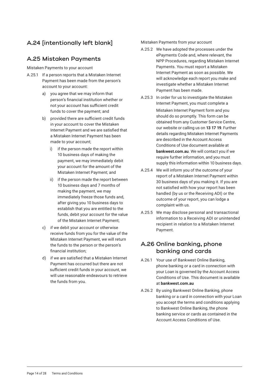## **A.24 [intentionally left blank]**

#### **A.25 Mistaken Payments**

Mistaken Payments to your account

- A.25.1 If a person reports that a Mistaken Internet Payment has been made from the person's account to your account:
	- a) you agree that we may inform that person's financial institution whether or not your account has sufficient credit funds to cover the payment; and
	- b) provided there are sufficient credit funds in your account to cover the Mistaken Internet Payment and we are satisfied that a Mistaken Internet Payment has been made to your account;
		- i) if the person made the report within 10 business days of making the payment, we may immediately debit your account for the amount of the Mistaken Internet Payment; and
		- ii) if the person made the report between 10 business days and 7 months of making the payment, we may immediately freeze those funds and, after giving you 10 business days to establish that you are entitled to the funds, debit your account for the value of the Mistaken Internet Payment;
	- c) if we debit your account or otherwise receive funds from you for the value of the Mistaken Internet Payment, we will return the funds to the person or the person's financial institution;
	- d) if we are satisfied that a Mistaken Internet Payment has occurred but there are not sufficient credit funds in your account, we will use reasonable endeavours to retrieve the funds from you.

Mistaken Payments from your account

- A.25.2 We have adopted the processes under the ePayments Code and, where relevant, the NPP Procedures, regarding Mistaken Internet Payments. You must report a Mistaken Internet Payment as soon as possible. We will acknowledge each report you make and investigate whether a Mistaken Internet Payment has been made.
- A.25.3 In order for us to investigate the Mistaken Internet Payment, you must complete a Mistaken Internet Payment form and you should do so promptly. This form can be obtained from any Customer Service Centre, our website or calling us on **13 17 19**. Further details regarding Mistaken Internet Payments are described in the Account Access Conditions of Use document available at **bankwest.com.au**. We will contact you if we require further information, and you must supply this information within 10 business days.
- A.25.4 We will inform you of the outcome of your report of a Mistaken Internet Payment within 30 business days of you making it. If you are not satisfied with how your report has been handled (by us or the Receiving ADI) or the outcome of your report, you can lodge a complaint with us.
- A.25.5 We may disclose personal and transactional information to a Receiving ADI or unintended recipient in relation to a Mistaken Internet Payment.

#### **A.26 Online banking, phone banking and cards**

- A.26.1 Your use of Bankwest Online Banking, phone banking or a card in connection with your Loan is governed by the Account Access Conditions of Use. This document is available at **bankwest.com.au**
- A.26.2 By using Bankwest Online Banking, phone banking or a card in connection with your Loan you accept the terms and conditions applying to Bankwest Online Banking, the phone banking service or cards as contained in the Account Access Conditions of Use.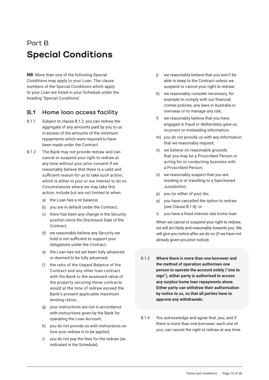# **Part B Special Conditions**

**NB**: More than one of the following Special Conditions may apply to your Loan. The clause numbers of the Special Conditions which apply to your Loan are listed in your Schedule under the heading 'Special Conditions'.

#### **B.1 Home loan access facility**

- B.1.1 Subject to clause B.1.2, you can redraw the aggregate of any amounts paid by you to us in excess of the amounts of the minimum repayments which were required to have been made under the Contract.
- B.1.2 The Bank may not provide redraw and can cancel or suspend your right to redraw at any time without your prior consent if we reasonably believe that there is a valid and sufficient reason for us to take such action, which is either in your or our interest to do so. Circumstances where we may take this action, include but are not limited to when:
	- a) the Loan has a nil balance;
	- b) you are in default under the Contract;
	- c) there has been any change in the Security position since the Disclosure Date of the Contract;
	- d) we reasonably believe any Security we hold is not sufficient to support your obligations under the Contract;
	- e) the Loan has not yet been fully advanced or deemed to be fully advanced;
	- f) the ratio of the Unpaid Balance of the Contract and any other loan contract with the Bank to the assessed value of the property securing those contracts would at the time of redraw exceed the Bank's present applicable maximum lending ratios;
	- g) your instructions are not in accordance with instructions given by the Bank for operating the Loan Account;
	- h) you do not provide us with instructions on how your redraw is to be applied;
	- i) you do not pay the fees for the redraw (as indicated in the Schedule);
- j) we reasonably believe that you won't be able to keep to the Contract unless we suspend or cancel your right to redraw;
- k) we reasonably consider necessary, for example to comply with our financial crimes policies, any laws in Australia or overseas or to manage any risk;
- l) we reasonably believe that you have engaged in fraud or deliberately gave us incorrect or misleading information;
- m) you do not provide us with any information that we reasonably request;
- n) we believe on reasonable grounds that you may be a Proscribed Person or acting for or conducting business with a Proscribed Person;
- o) we reasonably suspect that you are residing in or travelling to a Sanctioned Jurisdiction;
- p) you (or either of you) die;
- q) you have cancelled the option to redraw (see Clause B.1.4); or
- r) you have a fixed interest rate home loan.

When we cancel or suspend your right to redraw, we will act fairly and reasonably towards you. We will give you notice after we do so (if we have not already given you prior notice).

- B.1.3 **Where there is more than one borrower and the method of operation authorises one person to operate the account solely ("one to sign"), either party is authorised to access any surplus home loan repayments alone. Either party can withdraw their authorisation by notice to us, so that all parties have to approve any withdrawals.**
- B.1.4 You acknowledge and agree that, you, and if there is more than one borrower, each one of you, can cancel the right to redraw at any time.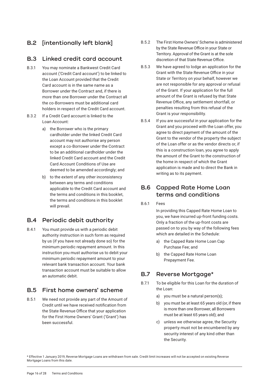## **B.2 [intentionally left blank]**

#### **B.3 Linked credit card account**

- B.3.1 You may nominate a Bankwest Credit Card account ('Credit Card account') to be linked to the Loan Account provided that the Credit Card account is in the same name as a Borrower under the Contract and, if there is more than one Borrower under the Contract all the co-Borrowers must be additional card holders in respect of the Credit Card account.
- B.3.2 If a Credit Card account is linked to the Loan Account:
	- a) the Borrower who is the primary cardholder under the linked Credit Card account may not authorise any person except a co-Borrower under the Contract to be an additional cardholder under the linked Credit Card account and the Credit Card Account Conditions of Use are deemed to be amended accordingly; and
	- b) to the extent of any other inconsistency between any terms and conditions applicable to the Credit Card account and the terms and conditions in this booklet, the terms and conditions in this booklet will prevail.

#### **B.4 Periodic debit authority**

B.4.1 You must provide us with a periodic debit authority instruction in such form as required by us (if you have not already done so) for the minimum periodic repayment amount. In this instruction you must authorise us to debit your minimum periodic repayment amount to your relevant bank transaction account. Your bank transaction account must be suitable to allow an automatic debit.

#### **B.5 First home owners' scheme**

B.5.1 We need not provide any part of the Amount of Credit until we have received notification from the State Revenue Office that your application for the First Home Owners' Grant ('Grant') has been successful.

- B.5.2 The First Home Owners' Scheme is administered by the State Revenue Office in your State or Territory. Approval of the Grant is at the sole discretion of that State Revenue Office.
- B.5.3 We have agreed to lodge an application for the Grant with the State Revenue Office in your State or Territory on your behalf, however we are not responsible for any approval or refusal of the Grant. If your application for the full amount of the Grant is refused by that State Revenue Office, any settlement shortfall, or penalties resulting from this refusal of the Grant is your responsibility.
- B.5.4 If you are successful in your application for the Grant and you proceed with the Loan offer, you agree to direct payment of the amount of the Grant to the vendor of the property the subject of the Loan offer or as the vendor directs or, if this is a construction loan, you agree to apply the amount of the Grant to the construction of the home in respect of which the Grant application is made and to direct the Bank in writing as to its payment.

#### **B.6 Capped Rate Home Loan terms and conditions**

B.6.1 Fees

 In providing this Capped Rate Home Loan to you, we have incurred up-front funding costs. Only a fraction of the up-front costs are passed on to you by way of the following fees which are detailed in the Schedule:

- a) the Capped Rate Home Loan Cap Purchase Fee; and
- b) the Capped Rate Home Loan Prepayment Fee.

#### **B.7 Reverse Mortgage\***

- B.7.1 To be eligible for this Loan for the duration of the Loan:
	- a) you must be a natural person(s);
	- b) you must be at least 65 years old (or, if there is more than one Borrower, all Borrowers must be at least 65 years old); and
	- c) unless we otherwise agree, the Security property must not be encumbered by any security interest of any kind other than the Security.

\* Effective 1 January 2019, Reverse Mortgage Loans are withdrawn from sale. Credit limit increases will not be accepted on existing Reverse Mortgage Loans from this date.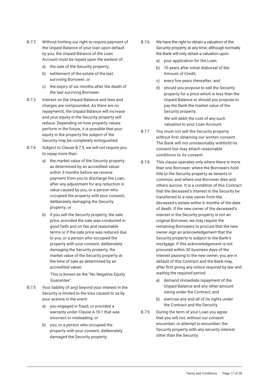- B.7.2 Without limiting our right to require payment of the Unpaid Balance of your loan upon default by you, the Unpaid Balance of the Loan Account must be repaid upon the earliest of:
	- a) the sale of the Security property;
	- b) settlement of the estate of the last surviving Borrower; or
	- c) the expiry of six months after the death of the last surviving Borrower.
- B.7.3 Interest on the Unpaid Balance and fees and charges are compounded. As there are no repayments, the Unpaid Balance will increase and your equity in the Security property will reduce. Depending on how property values perform in the future, it is possible that your equity in the property the subject of the Security may be completely extinguished.
- B.7.4 Subject to Clause B.7.5, we will not require you to repay more than:
	- a) the market value of the Security property as determined by an accredited valuer within 3 months before we receive payment from you to discharge the Loan, after any adjustment for any reduction in value caused by you, or a person who occupied the property with your consent, deliberately damaging the Security property; or
	- b) if you sell the Security property, the sale price, provided the sale was conducted in good faith and on fair and reasonable terms or if the sale price was reduced due to you, or a person who occupied the property with your consent, deliberately damaging the Security property, the market value of the Security property at the time of sale as determined by an accredited valuer.

 This is known as the "No Negative Equity Guarantee".

B.7.5 Your liability (if any) beyond your interest in the Security is limited to the loss caused to us by your actions in the event:

- a) you engaged in fraud, or provided a warranty under Clause A.18.1 that was incorrect or misleading; or
- b) you, or a person who occupied the property with your consent, deliberately damaged the Security property.
- B.7.6 We have the right to obtain a valuation of the Security property at any time, although normally the Bank will only obtain a valuation upon:
	- a) your application for the Loan;
	- b) 10 years after initial disbursal of the Amount of Credit;
	- c) every five years thereafter; and
	- d) should you propose to sell the Security property for a price which is less than the Unpaid Balance or should you propose to pay the Bank the market value of the Security property.

 We will debit the cost of any such valuation to your Loan Account.

- B.7.7 You must not sell the Security property without first obtaining our written consent. The Bank will not unreasonably withhold its consent but may attach reasonable conditions to its consent.
- B.7.8 This clause operates only where there is more than one Borrower, where the Borrowers hold title to the Security property as tenants in common, and where one Borrower dies and others survive. It is a condition of this Contract that the deceased's interest in the Security be transferred to a new owner from the deceased's estate within 6 months of the date of death. If the new owner of the deceased's interest in the Security property is not an original Borrower, we may require the remaining Borrowers to procure that the new owner sign an acknowledgement that the Security property is subject to the Bank's mortgage. If this acknowledgement is not procured within 30 business days of the interest passing to the new owner, you are in default of this Contract and the Bank may, after first giving any notice required by law and waiting the required period:
	- a) demand immediate repayment of the Unpaid Balance and any other amount owing under the Contract; and
	- b) exercise any and all of its rights under the Contract and the Security.
- B.7.9 During the term of your Loan you agree that you will not, without our consent encumber, or attempt to encumber, the Security property with any security interest other than the Security.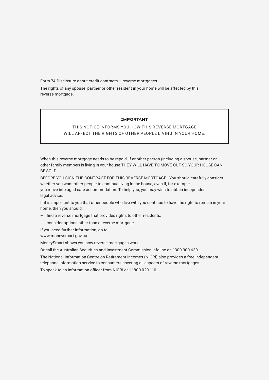Form 7A Disclosure about credit contracts – reverse mortgages

The rights of any spouse, partner or other resident in your home will be affected by this reverse mortgage.

#### **IMPORTANT**

#### THIS NOTICE INFORMS YOU HOW THIS REVERSE MORTGAGE WILL AFFECT THE RIGHTS OF OTHER PEOPLE LIVING IN YOUR HOME.

When this reverse mortgage needs to be repaid, if another person (including a spouse, partner or other family member) is living in your house THEY WILL HAVE TO MOVE OUT SO YOUR HOUSE CAN BE SOLD.

BEFORE YOU SIGN THE CONTRACT FOR THIS REVERSE MORTGAGE - You should carefully consider whether you want other people to continue living in the house, even if, for example, you move into aged care accommodation. To help you, you may wish to obtain independent legal advice.

If it is important to you that other people who live with you continue to have the right to remain in your home, then you should:

- **–** find a reverse mortgage that provides rights to other residents;
- **–** consider options other than a reverse mortgage.

If you need further information, go to www.moneysmart.gov.au.

MoneySmart shows you how reverse mortgages work.

Or call the Australian Securities and Investment Commission infoline on 1300 300 630.

The National Information Centre on Retirement Incomes (NICRI) also provides a free independent telephone information service to consumers covering all aspects of reverse mortgages.

To speak to an information officer from NICRI call 1800 020 110.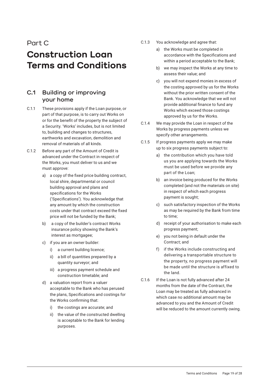#### **Part C**

# **Construction Loan Terms and Conditions**

#### **C.1 Building or improving your home**

- C.1.1 These provisions apply if the Loan purpose, or part of that purpose, is to carry out Works on or for the benefit of the property the subject of a Security. 'Works' includes, but is not limited to, building and changes to structures, earthworks and excavation, demolition and removal of materials of all kinds.
- C.1.2 Before any part of the Amount of Credit is advanced under the Contract in respect of the Works, you must deliver to us and we must approve:
	- a) a copy of the fixed price building contract, local shire, departmental or council building approval and plans and specifications for the Works ('Specifications'). You acknowledge that any amount by which the construction costs under that contract exceed the fixed price will not be funded by the Bank;
	- b) a copy of the builder's contract Works insurance policy showing the Bank's interest as mortgagee;
	- c) if you are an owner builder:
		- i) a current building licence;
		- ii) a bill of quantities prepared by a quantity surveyor; and
		- iii) a progress payment schedule and construction timetable; and
	- d) a valuation report from a valuer acceptable to the Bank who has perused the plans, Specifications and costings for the Works confirming that:
		- i) the costings are accurate; and
		- ii) the value of the constructed dwelling is acceptable to the Bank for lending purposes.
- C.1.3 You acknowledge and agree that:
	- a) the Works must be completed in accordance with the Specifications and within a period acceptable to the Bank;
	- b) we may inspect the Works at any time to assess their value; and
	- c) you will not expend monies in excess of the costing approved by us for the Works without the prior written consent of the Bank. You acknowledge that we will not provide additional finance to fund any Works which exceed those costings approved by us for the Works.
- C.1.4 We may provide the Loan in respect of the Works by progress payments unless we specify other arrangements.
- C.1.5 If progress payments apply we may make up to six progress payments subject to:
	- a) the contribution which you have told us you are applying towards the Works must be used before we provide any part of the Loan;
	- b) an invoice being produced for the Works completed (and not the materials on site) in respect of which each progress payment is sought;
	- c) such satisfactory inspection of the Works as may be required by the Bank from time to time;
	- d) receipt of your authorisation to make each progress payment;
	- e) you not being in default under the Contract; and
	- f) if the Works include constructing and delivering a transportable structure to the property, no progress payment will be made until the structure is affixed to the land.
- C.1.6 If the Loan is not fully advanced after 24 months from the date of the Contract, the Loan may be treated as fully advanced in which case no additional amount may be advanced to you and the Amount of Credit will be reduced to the amount currently owing.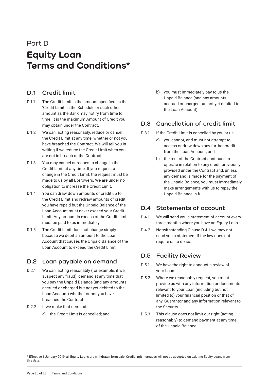#### **Part D**

# **Equity Loan Terms and Conditions\***

#### **D.1 Credit limit**

- D.1.1 The Credit Limit is the amount specified as the 'Credit Limit' in the Schedule or such other amount as the Bank may notify from time to time. It is the maximum Amount of Credit you may obtain under the Contract.
- D.1.2 We can, acting reasonably, reduce or cancel the Credit Limit at any time, whether or not you have breached the Contract. We will tell you in writing if we reduce the Credit Limit when you are not in breach of the Contract.
- D.1.3 You may cancel or request a change in the Credit Limit at any time. If you request a change in the Credit Limit, the request must be made to us by all Borrowers. We are under no obligation to increase the Credit Limit.
- D.1.4 You can draw down amounts of credit up to the Credit Limit and redraw amounts of credit you have repaid but the Unpaid Balance of the Loan Account must never exceed your Credit Limit. Any amount in excess of the Credit Limit must be paid to us immediately.
- D.1.5 The Credit Limit does not change simply because we debit an amount to the Loan Account that causes the Unpaid Balance of the Loan Account to exceed the Credit Limit.

#### **D.2 Loan payable on demand**

- D.2.1 We can, acting reasonably (for example, if we suspect any fraud), demand at any time that you pay the Unpaid Balance (and any amounts accrued or charged but not yet debited to the Loan Account) whether or not you have breached the Contract.
- D.2.2 If we make that demand:
	- a) the Credit Limit is cancelled; and

b) you must immediately pay to us the Unpaid Balance (and any amounts accrued or charged but not yet debited to the Loan Account).

#### **D.3 Cancellation of credit limit**

- D.3.1 If the Credit Limit is cancelled by you or us:
	- a) you cannot, and must not attempt to, access or draw down any further credit from the Loan Account; and
	- b) the rest of the Contract continues to operate in relation to any credit previously provided under the Contract and, unless any demand is made for the payment of the Unpaid Balance, you must immediately make arrangements with us to repay the Unpaid Balance in full.

#### **D.4 Statements of account**

- D.4.1 We will send you a statement of account every three months where you have an Equity Loan.
- D.4.2 Notwithstanding Clause D.4.1 we may not send you a statement if the law does not require us to do so.

#### **D.5 Facility Review**

- D.5.1 We have the right to conduct a review of your Loan.
- D.5.2 Where we reasonably request, you must provide us with any information or documents relevant to your Loan (including but not limited to) your financial position or that of any Guarantor and any information relevant to the Security.
- D.5.3 This clause does not limit our right (acting reasonably) to demand payment at any time of the Unpaid Balance.

<sup>\*</sup> Effective 1 January 2019, all Equity Loans are withdrawn form sale, Credit limit increases will not be accepted on existing Equity Loans from this date.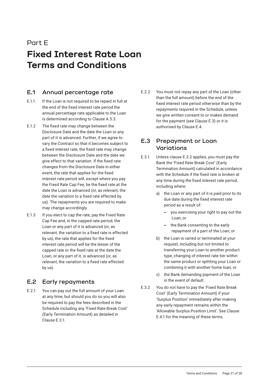# **Part E Fixed Interest Rate Loan Terms and Conditions**

#### **E.1 Annual percentage rate**

- E.1.1 If the Loan is not required to be repaid in full at the end of the fixed interest rate period the annual percentage rate applicable to the Loan is determined according to Clause A.5.3.
- E.1.2 The fixed rate may change between the Disclosure Date and the date the Loan or any part of it is advanced. Further, if we agree to vary the Contract so that it becomes subject to a fixed interest rate, the fixed rate may change between the Disclosure Date and the date we give effect to that variation. If the fixed rate changes from the Disclosure Date in either event, the rate that applies for the fixed interest rate period will, except where you pay the Fixed Rate Cap Fee, be the fixed rate at the date the Loan is advanced (or, as relevant, the date the variation to a fixed rate effected by us). The repayments you are required to make may change accordingly.
- E.1.3 If you elect to cap the rate, pay the Fixed Rate Cap Fee and, in the capped rate period, the Loan or any part of it is advanced (or, as relevant, the variation to a fixed rate is effected by us), the rate that applies for the fixed interest rate period will be the lesser of the capped rate or the fixed rate at the date the Loan, or any part of it, is advanced (or, as relevant, the variation to a fixed rate effected by us).

## **E.2 Early repayments**

E.2.1 You can pay out the full amount of your Loan at any time, but should you do so you will also be required to pay the fees described in the Schedule including any 'Fixed Rate Break Cost' (Early Termination Amount) as detailed in Clause E.3.1.

E.2.2 You must not repay any part of the Loan (other than the full amount) before the end of the fixed interest rate period otherwise than by the repayments required in the Schedule, unless we give written consent to or makes demand for the payment (see Clause E.3) or it is authorised by Clause E.4.

#### **E.3 Prepayment or Loan Variations**

- E.3.1 Unless clause E.3.2 applies, you must pay the Bank the 'Fixed Rate Break Cost' (Early Termination Amount) calculated in accordance with the Schedule if the fixed rate is broken at any time during the fixed interest rate period, including where:
	- a) the Loan or any part of it is paid prior to its due date during the fixed interest rate period as a result of:
		- **–** you exercising your right to pay out the Loan; or
		- **–** the Bank consenting to the early repayment of a part of the Loan; or
	- b) the Loan is varied or terminated at your request, including but not limited to transferring your Loan to another product type, changing of interest rate tier within the same product or splitting your Loan or combining it with another home loan; or
	- c) the Bank demanding payment of the Loan in the event of default.
- E.3.2 You do not have to pay the 'Fixed Rate Break Cost' (Early Termination Amount) if your 'Surplus Position' immediately after making any early repayment remains within the 'Allowable Surplus Position Limit'. See Clause E.4.1 for the meaning of these terms.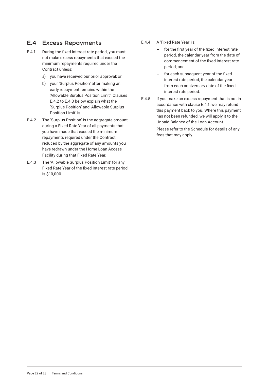## **E.4 Excess Repayments**

- E.4.1 During the fixed interest rate period, you must not make excess repayments that exceed the minimum repayments required under the Contract unless:
	- a) you have received our prior approval; or
	- b) your 'Surplus Position' after making an early repayment remains within the 'Allowable Surplus Position Limit'. Clauses E.4.2 to E.4.3 below explain what the 'Surplus Position' and 'Allowable Surplus Position Limit' is.
- E.4.2 The 'Surplus Position' is the aggregate amount during a Fixed Rate Year of all payments that you have made that exceed the minimum repayments required under the Contract reduced by the aggregate of any amounts you have redrawn under the Home Loan Access Facility during that Fixed Rate Year.
- E.4.3 The 'Allowable Surplus Position Limit' for any Fixed Rate Year of the fixed interest rate period is \$10,000.
- E.4.4 A 'Fixed Rate Year' is:
	- **–** for the first year of the fixed interest rate period, the calendar year from the date of commencement of the fixed interest rate period; and
	- **–** for each subsequent year of the fixed interest rate period, the calendar year from each anniversary date of the fixed interest rate period.
- E.4.5 If you make an excess repayment that is not in accordance with clause E.4.1, we may refund this payment back to you. Where this payment has not been refunded, we will apply it to the Unpaid Balance of the Loan Account.

Please refer to the Schedule for details of any fees that may apply.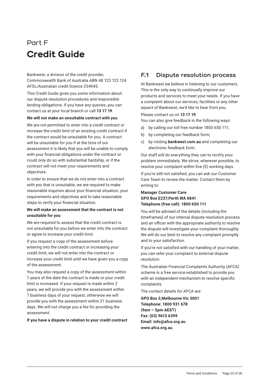# **Part F Credit Guide**

Bankwest, a division of the credit provider, Commonwealth Bank of Australia ABN 48 123 123 124 AFSL/Australian credit licence 234945.

This Credit Guide gives you some information about our dispute resolution procedures and responsible lending obligations. If you have any queries, you can contact us at your local branch or call **13 17 19**.

#### **We will not make an unsuitable contract with you**

We are not permitted to enter into a credit contract or increase the credit limit of an existing credit contract if the contract would be unsuitable for you. A contract will be unsuitable for you if at the time of our assessment it is likely that you will be unable to comply with your financial obligations under the contract or could only do so with substantial hardship, or if the contract will not meet your requirements and objectives.

In order to ensure that we do not enter into a contract with you that is unsuitable, we are required to make reasonable inquiries about your financial situation, your requirements and objectives and to take reasonable steps to verify your financial situation.

#### **We will make an assessment that the contract is not unsuitable for you**

We are required to assess that the credit contract is not unsuitable for you before we enter into the contract or agree to increase your credit limit.

If you request a copy of the assessment before entering into the credit contract or increasing your credit limit, we will not enter into the contract or increase your credit limit until we have given you a copy of the assessment.

You may also request a copy of the assessment within 7 years of the date the contract is made or your credit limit is increased. If your request is made within 2 years, we will provide you with the assessment within 7 business days of your request, otherwise we will provide you with the assessment within 21 business days. We will not charge you a fee for providing the assessment.

**If you have a dispute in relation to your credit contract**

#### **F.1 Dispute resolution process**

At Bankwest we believe in listening to our customers. This is the only way to continually improve our products and services to meet your needs. If you have a complaint about our services, facilities or any other aspect of Bankwest, we'd like to hear from you.

Please contact us on **13 17 19**. You can also give feedback in the following ways:

- a) by calling our toll free number 1800 650 111;
- b) by completing our feedback form;
- c) by visiting **bankwest.com.au** and completing our electronic feedback form.

Our staff will do everything they can to rectify your problem immediately. We strive, wherever possible, to resolve your complaint within five (5) working days.

If you're still not satisfied, you can ask our Customer Care Team to review the matter. Contact them by writing to:

#### **Manager Customer Care GPO Box E237,Perth WA 6841 Telephone (free call): 1800 650 111**

You will be advised of the details (including the timeframes) of our internal dispute resolution process and an officer with the appropriate authority to resolve the dispute will investigate your complaint thoroughly. We will do our best to resolve any complaint promptly and to your satisfaction.

If you're not satisfied with our handling of your matter, you can refer your complaint to external dispute resolution.

The Australian Financial Complaints Authority (AFCA) scheme is a free service established to provide you with an independent mechanism to resolve specific complaints.

The contact details for AFCA are:

**GPO Box 3,Melbourne Vic 3001 Telephone: 1800 931 678 (9am – 5pm AEST) Fax: (03) 9613 6399 Email: info@afca.org.au www.afca.org.au**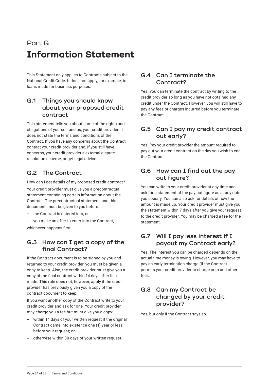# **Part G Information Statement**

This Statement only applies to Contracts subject to the National Credit Code. It does not apply, for example, to loans made for business purposes.

#### **G.1 Things you should know about your proposed credit contract**

This statement tells you about some of the rights and obligations of yourself and us, your credit provider. It does not state the terms and conditions of the Contract. If you have any concerns about the Contract, contact your credit provider and, if you still have concerns, your credit provider's external dispute resolution scheme, or get legal advice.

## **G.2 The Contract**

How can I get details of my proposed credit contract? Your credit provider must give you a precontractual statement containing certain information about the Contract. The precontractual statement, and this document, must be given to you before:

- **–** the Contract is entered into; or
- **–** you make an offer to enter into the Contract,

whichever happens first.

#### **G.3 How can I get a copy of the final Contract?**

If the Contract document is to be signed by you and returned to your credit provider, you must be given a copy to keep. Also, the credit provider must give you a copy of the final contract within 14 days after it is made. This rule does not, however, apply if the credit provider has previously given you a copy of the contract document to keep.

If you want another copy of the Contract write to your credit provider and ask for one. Your credit provider may charge you a fee but must give you a copy:

- **–** within 14 days of your written request if the original Contract came into existence one (1) year or less before your request; or
- **–** otherwise within 30 days of your written request.

#### **G.4 Can I terminate the Contract?**

Yes. You can terminate the contract by writing to the credit provider so long as you have not obtained any credit under the Contract. However, you will still have to pay any fees or charges incurred before you terminate the Contract.

#### **G.5 Can I pay my credit contract out early?**

Yes. Pay your credit provider the amount required to pay out your credit contract on the day you wish to end the Contract.

#### **G.6 How can I find out the pay out figure?**

You can write to your credit provider at any time and ask for a statement of the pay out figure as at any date you specify. You can also ask for details of how the amount is made up. Your credit provider must give you the statement within 7 days after you give your request to the credit provider. You may be charged a fee for the statement.

## **G.7 Will I pay less interest if I payout my Contract early?**

Yes. The interest you can be charged depends on the actual time money is owing. However, you may have to pay an early termination charge (if the Contract permits your credit provider to charge one) and other fees.

#### **G.8 Can my Contract be changed by your credit provider?**

Yes, but only if the Contract says so.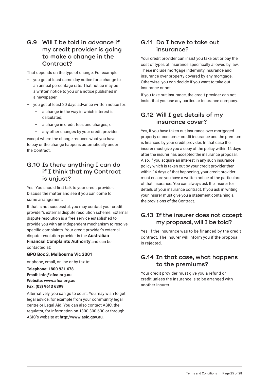#### **G.9 Will I be told in advance if my credit provider is going to make a change in the Contract?**

That depends on the type of change. For example:

- **–** you get at least same day notice for a change to an annual percentage rate. That notice may be a written notice to you or a notice published in a newspaper.
- **–** you get at least 20 days advance written notice for:
	- **–** a change in the way in which interest is calculated;
	- **–** a change in credit fees and charges; or
	- **–** any other changes by your credit provider,

except where the change reduces what you have to pay or the change happens automatically under the Contract.

#### **G.10 Is there anything I can do if I think that my Contract is unjust?**

Yes. You should first talk to your credit provider. Discuss the matter and see if you can come to some arrangement.

If that is not successful, you may contact your credit provider's external dispute resolution scheme. External dispute resolution is a free service established to provide you with an independent mechanism to resolve specific complaints. Your credit provider's external dispute resolution provider is the **Australian Financial Complaints Authority** and can be contacted at:

#### **GPO Box 3, Melbourne Vic 3001**

or phone, email, online or by fax to:

**Telephone: 1800 931 678 Email: info@afca.org.au Website: www.afca.org.au Fax: (03) 9613 6399**

Alternatively, you can go to court. You may wish to get legal advice, for example from your community legal centre or Legal Aid. You can also contact ASIC, the regulator, for information on 1300 300 630 or through ASIC's website at **http://www.asic.gov.au**.

#### **G.11 Do I have to take out insurance?**

Your credit provider can insist you take out or pay the cost of types of insurance specifically allowed by law. These include mortgage indemnity insurance and insurance over property covered by any mortgage. Otherwise, you can decide if you want to take out insurance or not.

If you take out insurance, the credit provider can not insist that you use any particular insurance company.

#### **G.12 Will I get details of my insurance cover?**

Yes, if you have taken out insurance over mortgaged property or consumer credit insurance and the premium is financed by your credit provider. In that case the insurer must give you a copy of the policy within 14 days after the insurer has accepted the insurance proposal. Also, if you acquire an interest in any such insurance policy which is taken out by your credit provider then, within 14 days of that happening, your credit provider must ensure you have a written notice of the particulars of that insurance. You can always ask the insurer for details of your insurance contract. If you ask in writing your insurer must give you a statement containing all the provisions of the Contract.

#### **G.13 If the insurer does not accept my proposal, will I be told?**

Yes, if the insurance was to be financed by the credit contract. The insurer will inform you if the proposal is rejected.

#### **G.14 In that case, what happens to the premiums?**

Your credit provider must give you a refund or credit unless the insurance is to be arranged with another insurer.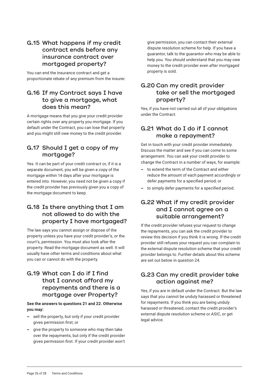#### **G.15 What happens if my credit contract ends before any insurance contract over mortgaged property?**

You can end the insurance contract and get a proportionate rebate of any premium from the insurer.

#### **G.16 If my Contract says I have to give a mortgage, what does this mean?**

A mortgage means that you give your credit provider certain rights over any property you mortgage. If you default under the Contract, you can lose that property and you might still owe money to the credit provider.

#### **G.17 Should I get a copy of my mortgage?**

Yes. It can be part of your credit contract or, if it is a separate document, you will be given a copy of the mortgage within 14 days after your mortgage is entered into. However, you need not be given a copy if the credit provider has previously given you a copy of the mortgage document to keep.

#### **G.18 Is there anything that I am not allowed to do with the property I have mortgaged?**

The law says you cannot assign or dispose of the property unless you have your credit provider's, or the court's, permission. You must also look after the property. Read the mortgage document as well. It will usually have other terms and conditions about what you can or cannot do with the property.

#### **G.19 What can I do if I find that I cannot afford my repayments and there is a mortgage over Property?**

#### **See the answers to questions 21 and 22. Otherwise you may:**

- **–** sell the property, but only if your credit provider gives permission first; or
- **–** give the property to someone who may then take over the repayments, but only if the credit provider gives permission first. If your credit provider won't

give permission, you can contact their external dispute resolution scheme for help. If you have a guarantor, talk to the guarantor who may be able to help you. You should understand that you may owe money to the credit provider even after mortgaged property is sold.

#### **G.20 Can my credit provider take or sell the mortgaged property?**

Yes, if you have not carried out all of your obligations under the Contract.

#### **G.21 What do I do if I cannot make a repayment?**

Get in touch with your credit provider immediately. Discuss the matter and see if you can come to some arrangement. You can ask your credit provider to change the Contract in a number of ways, for example:

- **–** to extend the term of the Contract and either reduce the amount of each payment accordingly or defer payments for a specified period; or
- **–** to simply defer payments for a specified period.

#### **G.22 What if my credit provider and I cannot agree on a suitable arrangement?**

If the credit provider refuses your request to change the repayments, you can ask the credit provider to review this decision if you think it is wrong. If the credit provider still refuses your request you can complain to the external dispute resolution scheme that your credit provider belongs to. Further details about this scheme are set out below in question 24.

#### **G.23 Can my credit provider take action against me?**

Yes, if you are in default under the Contract. But the law says that you cannot be unduly harassed or threatened for repayments. If you think you are being unduly harassed or threatened, contact the credit provider's external dispute resolution scheme or ASIC, or get legal advice.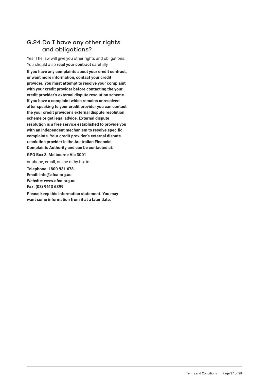#### **G.24 Do I have any other rights and obligations?**

Yes. The law will give you other rights and obligations. You should also **read your contract** carefully.

**If you have any complaints about your credit contract, or want more information, contact your credit provider. You must attempt to resolve your complaint with your credit provider before contacting the your credit provider's external dispute resolution scheme. If you have a complaint which remains unresolved after speaking to your credit provider you can contact the your credit provider's external dispute resolution scheme or get legal advice. External dispute resolution is a free service established to provide you with an independent mechanism to resolve specific complaints. Your credit provider's external dispute resolution provider is the Australian Financial Complaints Authority and can be contacted at:**

**GPO Box 3, Melbourne Vic 3001** 

or phone, email, online or by fax to:

**Telephone: 1800 931 678 Email: info@afca.org.au Website: www.afca.org.au Fax: (03) 9613 6399**

**Please keep this information statement. You may want some information from it at a later date.**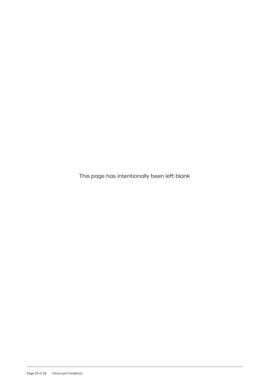**This page has intentionally been left blank**